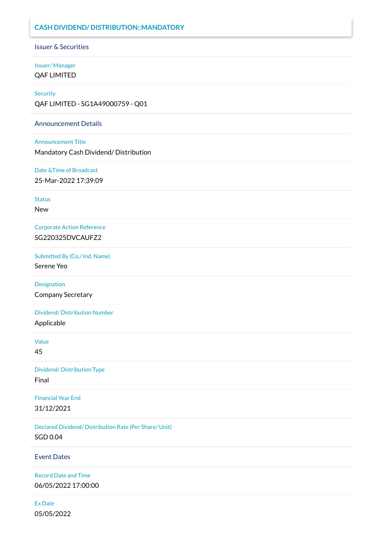## **CASH DIVIDEND/ DISTRIBUTION::MANDATORY**

Issuer & Securities

### Issuer/ Manager QAF LIMITED

#### **Security**

QAF LIMITED - SG1A49000759 - Q01

#### Announcement Details

Announcement Title

Mandatory Cash Dividend/ Distribution

Date &Time of Broadcast

25-Mar-2022 17:39:09

**Status** 

New

Corporate Action Reference SG220325DVCAUFZ2

Submitted By (Co./ Ind. Name)

Serene Yeo

Designation

Company Secretary

Dividend/ Distribution Number

Applicable

Value

45

Dividend/ Distribution Type Final

Financial Year End 31/12/2021

Declared Dividend/ Distribution Rate (Per Share/ Unit) SGD 0.04

Event Dates

Record Date and Time 06/05/2022 17:00:00

Ex Date 05/05/2022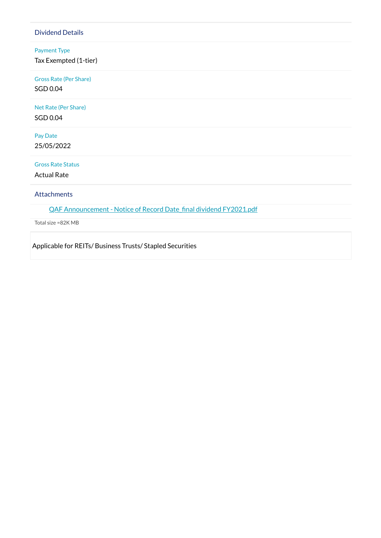## Dividend Details

### Payment Type

Tax Exempted (1-tier)

Gross Rate (Per Share) SGD 0.04

Net Rate (Per Share)

SGD 0.04

Pay Date 25/05/2022

Gross Rate Status

Actual Rate

Attachments

QAF [Announcement -](https://links.sgx.com/1.0.0/corporate-announcements/DS8I30T2SDRU5I4O/708388_QAF%20Announcement%20-%20Notice%20of%20Record%20Date_final%20dividend%20FY2021.pdf) Notice of Record Date final dividend FY2021.pdf

Total size =82K MB

Applicable for REITs/ Business Trusts/ Stapled Securities